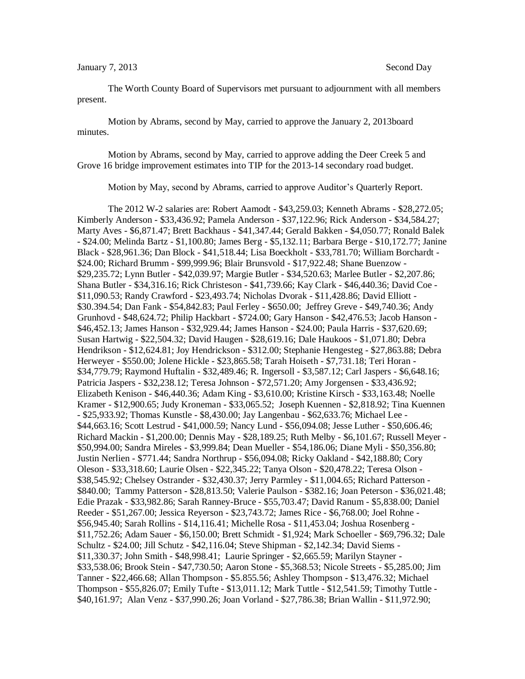The Worth County Board of Supervisors met pursuant to adjournment with all members present.

Motion by Abrams, second by May, carried to approve the January 2, 2013board minutes.

Motion by Abrams, second by May, carried to approve adding the Deer Creek 5 and Grove 16 bridge improvement estimates into TIP for the 2013-14 secondary road budget.

Motion by May, second by Abrams, carried to approve Auditor's Quarterly Report.

The 2012 W-2 salaries are: Robert Aamodt - \$43,259.03; Kenneth Abrams - \$28,272.05; Kimberly Anderson - \$33,436.92; Pamela Anderson - \$37,122.96; Rick Anderson - \$34,584.27; Marty Aves - \$6,871.47; Brett Backhaus - \$41,347.44; Gerald Bakken - \$4,050.77; Ronald Balek - \$24.00; Melinda Bartz - \$1,100.80; James Berg - \$5,132.11; Barbara Berge - \$10,172.77; Janine Black - \$28,961.36; Dan Block - \$41,518.44; Lisa Boeckholt - \$33,781.70; William Borchardt - \$24.00; Richard Brumm - \$99,999.96; Blair Brunsvold - \$17,922.48; Shane Buenzow - \$29,235.72; Lynn Butler - \$42,039.97; Margie Butler - \$34,520.63; Marlee Butler - \$2,207.86; Shana Butler - \$34,316.16; Rick Christeson - \$41,739.66; Kay Clark - \$46,440.36; David Coe - \$11,090.53; Randy Crawford - \$23,493.74; Nicholas Dvorak - \$11,428.86; David Elliott - \$30.394.54; Dan Fank - \$54,842.83; Paul Ferley - \$650.00; Jeffrey Greve - \$49,740.36; Andy Grunhovd - \$48,624.72; Philip Hackbart - \$724.00; Gary Hanson - \$42,476.53; Jacob Hanson - \$46,452.13; James Hanson - \$32,929.44; James Hanson - \$24.00; Paula Harris - \$37,620.69; Susan Hartwig - \$22,504.32; David Haugen - \$28,619.16; Dale Haukoos - \$1,071.80; Debra Hendrikson - \$12,624.81; Joy Hendrickson - \$312.00; Stephanie Hengesteg - \$27,863.88; Debra Herweyer - \$550.00; Jolene Hickle - \$23,865.58; Tarah Hoiseth - \$7,731.18; Teri Horan - \$34,779.79; Raymond Huftalin - \$32,489.46; R. Ingersoll - \$3,587.12; Carl Jaspers - \$6,648.16; Patricia Jaspers - \$32,238.12; Teresa Johnson - \$72,571.20; Amy Jorgensen - \$33,436.92; Elizabeth Kenison - \$46,440.36; Adam King - \$3,610.00; Kristine Kirsch - \$33,163.48; Noelle Kramer - \$12,900.65; Judy Kroneman - \$33,065.52; Joseph Kuennen - \$2,818.92; Tina Kuennen - \$25,933.92; Thomas Kunstle - \$8,430.00; Jay Langenbau - \$62,633.76; Michael Lee - \$44,663.16; Scott Lestrud - \$41,000.59; Nancy Lund - \$56,094.08; Jesse Luther - \$50,606.46; Richard Mackin - \$1,200.00; Dennis May - \$28,189.25; Ruth Melby - \$6,101.67; Russell Meyer - \$50,994.00; Sandra Mireles - \$3,999.84; Dean Mueller - \$54,186.06; Diane Myli - \$50,356.80; Justin Nerlien - \$771.44; Sandra Northrup - \$56,094.08; Ricky Oakland - \$42,188.80; Cory Oleson - \$33,318.60; Laurie Olsen - \$22,345.22; Tanya Olson - \$20,478.22; Teresa Olson - \$38,545.92; Chelsey Ostrander - \$32,430.37; Jerry Parmley - \$11,004.65; Richard Patterson - \$840.00; Tammy Patterson - \$28,813.50; Valerie Paulson - \$382.16; Joan Peterson - \$36,021.48; Edie Prazak - \$33,982.86; Sarah Ranney-Bruce - \$55,703.47; David Ranum - \$5,838.00; Daniel Reeder - \$51,267.00; Jessica Reyerson - \$23,743.72; James Rice - \$6,768.00; Joel Rohne - \$56,945.40; Sarah Rollins - \$14,116.41; Michelle Rosa - \$11,453.04; Joshua Rosenberg - \$11,752.26; Adam Sauer - \$6,150.00; Brett Schmidt - \$1,924; Mark Schoeller - \$69,796.32; Dale Schultz - \$24.00; Jill Schutz - \$42,116.04; Steve Shipman - \$2,142.34; David Siems - \$11,330.37; John Smith - \$48,998.41; Laurie Springer - \$2,665.59; Marilyn Stayner - \$33,538.06; Brook Stein - \$47,730.50; Aaron Stone - \$5,368.53; Nicole Streets - \$5,285.00; Jim Tanner - \$22,466.68; Allan Thompson - \$5.855.56; Ashley Thompson - \$13,476.32; Michael Thompson - \$55,826.07; Emily Tufte - \$13,011.12; Mark Tuttle - \$12,541.59; Timothy Tuttle - \$40,161.97; Alan Venz - \$37,990.26; Joan Vorland - \$27,786.38; Brian Wallin - \$11,972.90;